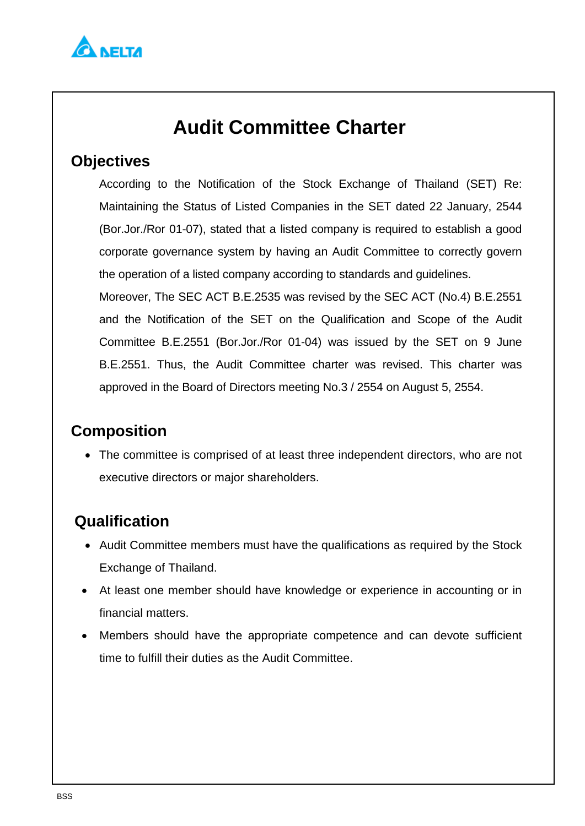

# **Audit Committee Charter**

#### **Objectives**

According to the Notification of the Stock Exchange of Thailand (SET) Re: Maintaining the Status of Listed Companies in the SET dated 22 January, 2544 (Bor.Jor./Ror 01-07), stated that a listed company is required to establish a good corporate governance system by having an Audit Committee to correctly govern the operation of a listed company according to standards and guidelines.

Moreover, The SEC ACT B.E.2535 was revised by the SEC ACT (No.4) B.E.2551 and the Notification of the SET on the Qualification and Scope of the Audit Committee B.E.2551 (Bor.Jor./Ror 01-04) was issued by the SET on 9 June B.E.2551. Thus, the Audit Committee charter was revised. This charter was approved in the Board of Directors meeting No.3 / 2554 on August 5, 2554.

# **Composition**

 The committee is comprised of at least three independent directors, who are not executive directors or major shareholders.

# **Qualification**

- Audit Committee members must have the qualifications as required by the Stock Exchange of Thailand.
- At least one member should have knowledge or experience in accounting or in financial matters.
- Members should have the appropriate competence and can devote sufficient time to fulfill their duties as the Audit Committee.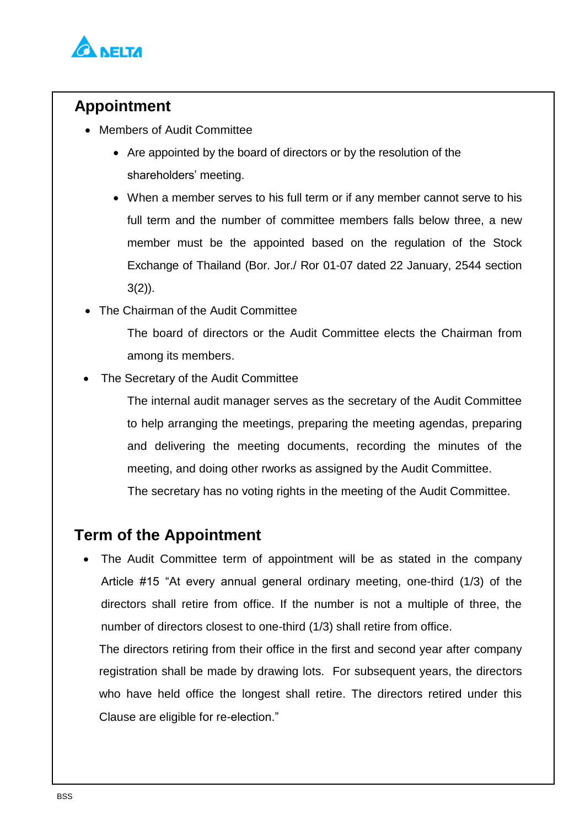

### **Appointment**

- Members of Audit Committee
	- Are appointed by the board of directors or by the resolution of the shareholders' meeting.
	- When a member serves to his full term or if any member cannot serve to his full term and the number of committee members falls below three, a new member must be the appointed based on the regulation of the Stock Exchange of Thailand (Bor. Jor./ Ror 01-07 dated 22 January, 2544 section  $3(2)$ ).
- The Chairman of the Audit Committee

The board of directors or the Audit Committee elects the Chairman from among its members.

The Secretary of the Audit Committee

The internal audit manager serves as the secretary of the Audit Committee to help arranging the meetings, preparing the meeting agendas, preparing and delivering the meeting documents, recording the minutes of the meeting, and doing other rworks as assigned by the Audit Committee. The secretary has no voting rights in the meeting of the Audit Committee.

### **Term of the Appointment**

 The Audit Committee term of appointment will be as stated in the company Article #15 "At every annual general ordinary meeting, one-third (1/3) of the directors shall retire from office. If the number is not a multiple of three, the number of directors closest to one-third (1/3) shall retire from office.

The directors retiring from their office in the first and second year after company registration shall be made by drawing lots. For subsequent years, the directors who have held office the longest shall retire. The directors retired under this Clause are eligible for re-election."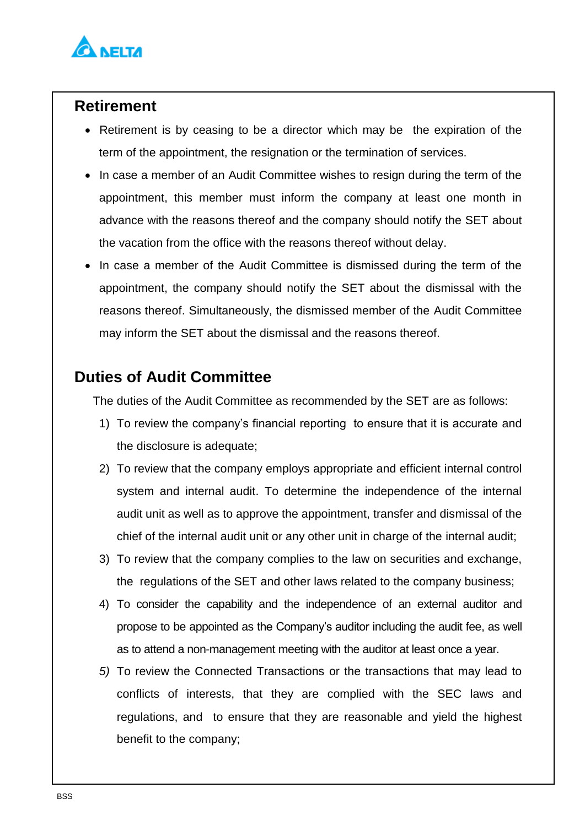

#### **Retirement**

- Retirement is by ceasing to be a director which may be the expiration of the term of the appointment, the resignation or the termination of services.
- In case a member of an Audit Committee wishes to resign during the term of the appointment, this member must inform the company at least one month in advance with the reasons thereof and the company should notify the SET about the vacation from the office with the reasons thereof without delay.
- In case a member of the Audit Committee is dismissed during the term of the appointment, the company should notify the SET about the dismissal with the reasons thereof. Simultaneously, the dismissed member of the Audit Committee may inform the SET about the dismissal and the reasons thereof.

# **Duties of Audit Committee**

The duties of the Audit Committee as recommended by the SET are as follows:

- 1) To review the company's financial reporting to ensure that it is accurate and the disclosure is adequate;
- 2) To review that the company employs appropriate and efficient internal control system and internal audit. To determine the independence of the internal audit unit as well as to approve the appointment, transfer and dismissal of the chief of the internal audit unit or any other unit in charge of the internal audit;
- 3) To review that the company complies to the law on securities and exchange, the regulations of the SET and other laws related to the company business;
- 4) To consider the capability and the independence of an external auditor and propose to be appointed as the Company's auditor including the audit fee, as well as to attend a non-management meeting with the auditor at least once a year.
- *5)* To review the Connected Transactions or the transactions that may lead to conflicts of interests, that they are complied with the SEC laws and regulations, and to ensure that they are reasonable and yield the highest benefit to the company;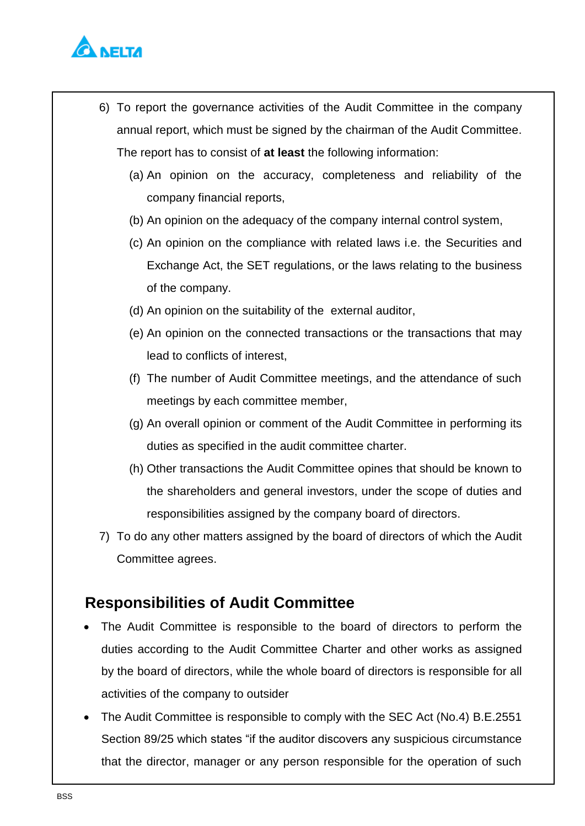

- 6) To report the governance activities of the Audit Committee in the company annual report, which must be signed by the chairman of the Audit Committee. The report has to consist of **at least** the following information:
	- (a) An opinion on the accuracy, completeness and reliability of the company financial reports,
	- (b) An opinion on the adequacy of the company internal control system,
	- (c) An opinion on the compliance with related laws i.e. the Securities and Exchange Act, the SET regulations, or the laws relating to the business of the company.
	- (d) An opinion on the suitability of the external auditor,
	- (e) An opinion on the connected transactions or the transactions that may lead to conflicts of interest,
	- (f) The number of Audit Committee meetings, and the attendance of such meetings by each committee member,
	- (g) An overall opinion or comment of the Audit Committee in performing its duties as specified in the audit committee charter.
	- (h) Other transactions the Audit Committee opines that should be known to the shareholders and general investors, under the scope of duties and responsibilities assigned by the company board of directors.
- 7) To do any other matters assigned by the board of directors of which the Audit Committee agrees.

#### **Responsibilities of Audit Committee**

- The Audit Committee is responsible to the board of directors to perform the duties according to the Audit Committee Charter and other works as assigned by the board of directors, while the whole board of directors is responsible for all activities of the company to outsider
- The Audit Committee is responsible to comply with the SEC Act (No.4) B.E.2551 Section 89/25 which states "if the auditor discovers any suspicious circumstance that the director, manager or any person responsible for the operation of such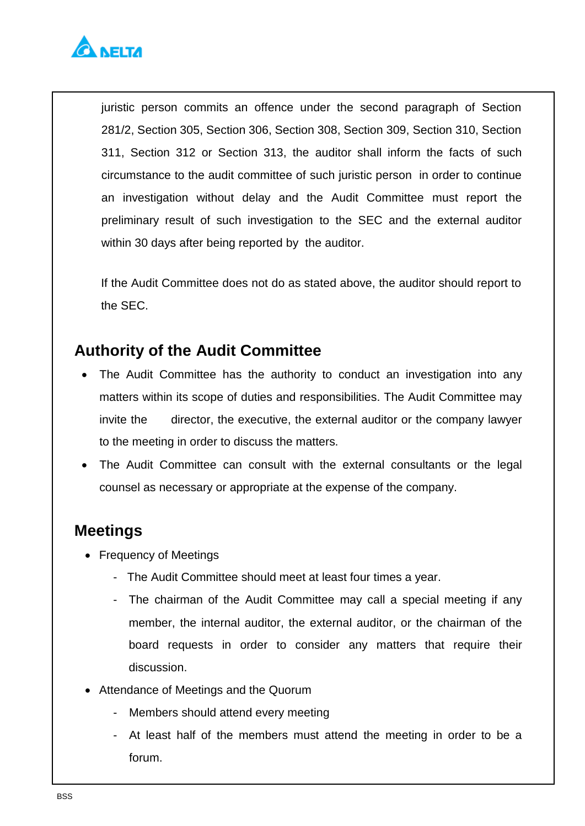

juristic person commits an offence under the second paragraph of Section 281/2, Section 305, Section 306, Section 308, Section 309, Section 310, Section 311, Section 312 or Section 313, the auditor shall inform the facts of such circumstance to the audit committee of such juristic person in order to continue an investigation without delay and the Audit Committee must report the preliminary result of such investigation to the SEC and the external auditor within 30 days after being reported by the auditor.

If the Audit Committee does not do as stated above, the auditor should report to the SEC.

#### **Authority of the Audit Committee**

- The Audit Committee has the authority to conduct an investigation into any matters within its scope of duties and responsibilities. The Audit Committee may invite the director, the executive, the external auditor or the company lawyer to the meeting in order to discuss the matters.
- The Audit Committee can consult with the external consultants or the legal counsel as necessary or appropriate at the expense of the company.

### **Meetings**

- Frequency of Meetings
	- The Audit Committee should meet at least four times a year.
	- The chairman of the Audit Committee may call a special meeting if any member, the internal auditor, the external auditor, or the chairman of the board requests in order to consider any matters that require their discussion.
- Attendance of Meetings and the Quorum
	- Members should attend every meeting
	- At least half of the members must attend the meeting in order to be a forum.